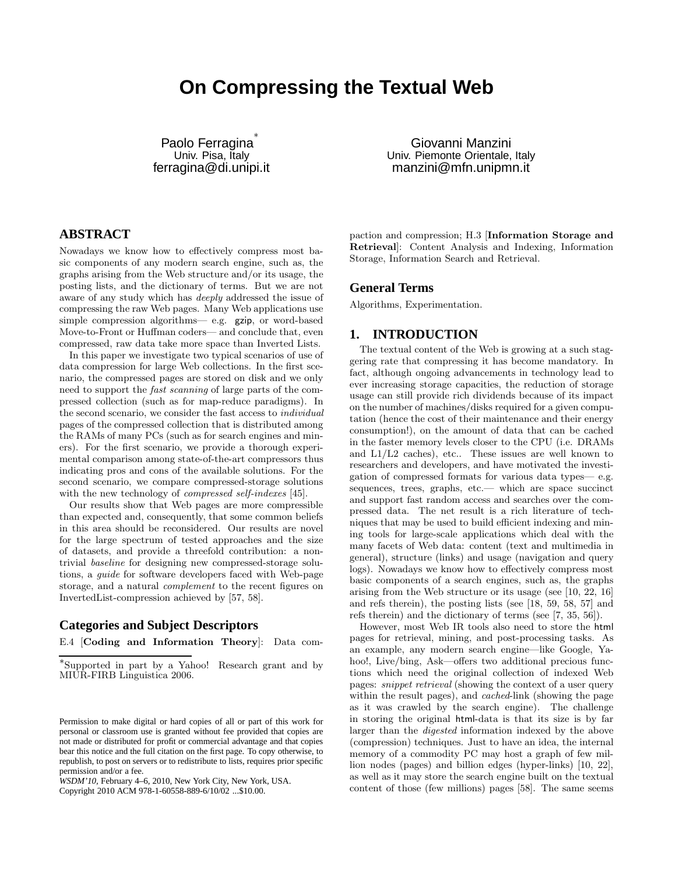# **On Compressing the Textual Web**

Paolo Ferragina ∗ Univ. Pisa, Italy ferragina@di.unipi.it

**ABSTRACT**

Nowadays we know how to effectively compress most basic components of any modern search engine, such as, the graphs arising from the Web structure and/or its usage, the posting lists, and the dictionary of terms. But we are not aware of any study which has deeply addressed the issue of compressing the raw Web pages. Many Web applications use simple compression algorithms— e.g. gzip, or word-based Move-to-Front or Huffman coders— and conclude that, even compressed, raw data take more space than Inverted Lists.

In this paper we investigate two typical scenarios of use of data compression for large Web collections. In the first scenario, the compressed pages are stored on disk and we only need to support the fast scanning of large parts of the compressed collection (such as for map-reduce paradigms). In the second scenario, we consider the fast access to individual pages of the compressed collection that is distributed among the RAMs of many PCs (such as for search engines and miners). For the first scenario, we provide a thorough experimental comparison among state-of-the-art compressors thus indicating pros and cons of the available solutions. For the second scenario, we compare compressed-storage solutions with the new technology of *compressed self-indexes* [45].

Our results show that Web pages are more compressible than expected and, consequently, that some common beliefs in this area should be reconsidered. Our results are novel for the large spectrum of tested approaches and the size of datasets, and provide a threefold contribution: a nontrivial baseline for designing new compressed-storage solutions, a guide for software developers faced with Web-page storage, and a natural complement to the recent figures on InvertedList-compression achieved by [57, 58].

# **Categories and Subject Descriptors**

E.4 [Coding and Information Theory]: Data com-

*WSDM'10,* February 4–6, 2010, New York City, New York, USA. Copyright 2010 ACM 978-1-60558-889-6/10/02 ...\$10.00.

Giovanni Manzini Univ. Piemonte Orientale, Italy manzini@mfn.unipmn.it

paction and compression; H.3 [Information Storage and Retrieval]: Content Analysis and Indexing, Information Storage, Information Search and Retrieval.

## **General Terms**

Algorithms, Experimentation.

# **1. INTRODUCTION**

The textual content of the Web is growing at a such staggering rate that compressing it has become mandatory. In fact, although ongoing advancements in technology lead to ever increasing storage capacities, the reduction of storage usage can still provide rich dividends because of its impact on the number of machines/disks required for a given computation (hence the cost of their maintenance and their energy consumption!), on the amount of data that can be cached in the faster memory levels closer to the CPU (i.e. DRAMs and L1/L2 caches), etc.. These issues are well known to researchers and developers, and have motivated the investigation of compressed formats for various data types— e.g. sequences, trees, graphs, etc.— which are space succinct and support fast random access and searches over the compressed data. The net result is a rich literature of techniques that may be used to build efficient indexing and mining tools for large-scale applications which deal with the many facets of Web data: content (text and multimedia in general), structure (links) and usage (navigation and query logs). Nowadays we know how to effectively compress most basic components of a search engines, such as, the graphs arising from the Web structure or its usage (see [10, 22, 16] and refs therein), the posting lists (see [18, 59, 58, 57] and refs therein) and the dictionary of terms (see [7, 35, 56]).

However, most Web IR tools also need to store the html pages for retrieval, mining, and post-processing tasks. As an example, any modern search engine—like Google, Yahoo!, Live/bing, Ask—offers two additional precious functions which need the original collection of indexed Web pages: snippet retrieval (showing the context of a user query within the result pages), and *cached*-link (showing the page as it was crawled by the search engine). The challenge in storing the original html-data is that its size is by far larger than the digested information indexed by the above (compression) techniques. Just to have an idea, the internal memory of a commodity PC may host a graph of few million nodes (pages) and billion edges (hyper-links) [10, 22], as well as it may store the search engine built on the textual content of those (few millions) pages [58]. The same seems

<sup>∗</sup> Supported in part by a Yahoo! Research grant and by MIUR-FIRB Linguistica 2006.

Permission to make digital or hard copies of all or part of this work for personal or classroom use is granted without fee provided that copies are not made or distributed for profit or commercial advantage and that copies bear this notice and the full citation on the first page. To copy otherwise, to republish, to post on servers or to redistribute to lists, requires prior specific permission and/or a fee.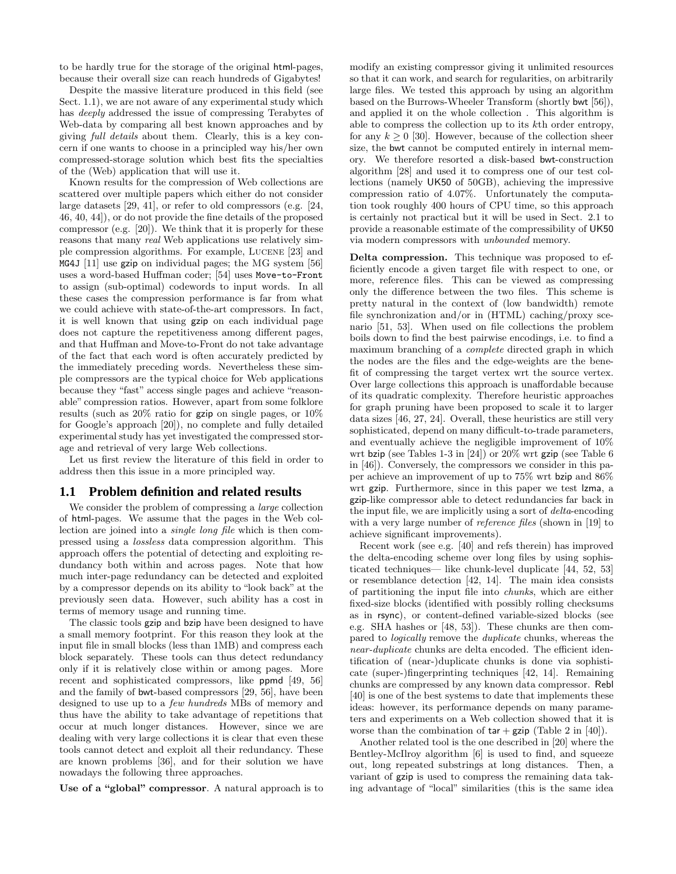to be hardly true for the storage of the original html-pages, because their overall size can reach hundreds of Gigabytes!

Despite the massive literature produced in this field (see Sect. 1.1), we are not aware of any experimental study which has deeply addressed the issue of compressing Terabytes of Web-data by comparing all best known approaches and by giving full details about them. Clearly, this is a key concern if one wants to choose in a principled way his/her own compressed-storage solution which best fits the specialties of the (Web) application that will use it.

Known results for the compression of Web collections are scattered over multiple papers which either do not consider large datasets [29, 41], or refer to old compressors (e.g. [24, 46, 40, 44]), or do not provide the fine details of the proposed compressor (e.g. [20]). We think that it is properly for these reasons that many real Web applications use relatively simple compression algorithms. For example, Lucene [23] and MG4J [11] use gzip on individual pages; the MG system [56] uses a word-based Huffman coder; [54] uses Move-to-Front to assign (sub-optimal) codewords to input words. In all these cases the compression performance is far from what we could achieve with state-of-the-art compressors. In fact, it is well known that using gzip on each individual page does not capture the repetitiveness among different pages, and that Huffman and Move-to-Front do not take advantage of the fact that each word is often accurately predicted by the immediately preceding words. Nevertheless these simple compressors are the typical choice for Web applications because they "fast" access single pages and achieve "reasonable" compression ratios. However, apart from some folklore results (such as 20% ratio for gzip on single pages, or 10% for Google's approach [20]), no complete and fully detailed experimental study has yet investigated the compressed storage and retrieval of very large Web collections.

Let us first review the literature of this field in order to address then this issue in a more principled way.

#### **1.1 Problem definition and related results**

We consider the problem of compressing a *large* collection of html-pages. We assume that the pages in the Web collection are joined into a single long file which is then compressed using a lossless data compression algorithm. This approach offers the potential of detecting and exploiting redundancy both within and across pages. Note that how much inter-page redundancy can be detected and exploited by a compressor depends on its ability to "look back" at the previously seen data. However, such ability has a cost in terms of memory usage and running time.

The classic tools gzip and bzip have been designed to have a small memory footprint. For this reason they look at the input file in small blocks (less than 1MB) and compress each block separately. These tools can thus detect redundancy only if it is relatively close within or among pages. More recent and sophisticated compressors, like ppmd [49, 56] and the family of bwt-based compressors [29, 56], have been designed to use up to a few hundreds MBs of memory and thus have the ability to take advantage of repetitions that occur at much longer distances. However, since we are dealing with very large collections it is clear that even these tools cannot detect and exploit all their redundancy. These are known problems [36], and for their solution we have nowadays the following three approaches.

Use of a "global" compressor. A natural approach is to

modify an existing compressor giving it unlimited resources so that it can work, and search for regularities, on arbitrarily large files. We tested this approach by using an algorithm based on the Burrows-Wheeler Transform (shortly bwt [56]), and applied it on the whole collection . This algorithm is able to compress the collection up to its kth order entropy, for any  $k \geq 0$  [30]. However, because of the collection sheer size, the bwt cannot be computed entirely in internal memory. We therefore resorted a disk-based bwt-construction algorithm [28] and used it to compress one of our test collections (namely UK50 of 50GB), achieving the impressive compression ratio of 4.07%. Unfortunately the computation took roughly 400 hours of CPU time, so this approach is certainly not practical but it will be used in Sect. 2.1 to provide a reasonable estimate of the compressibility of UK50 via modern compressors with unbounded memory.

Delta compression. This technique was proposed to efficiently encode a given target file with respect to one, or more, reference files. This can be viewed as compressing only the difference between the two files. This scheme is pretty natural in the context of (low bandwidth) remote file synchronization and/or in (HTML) caching/proxy scenario [51, 53]. When used on file collections the problem boils down to find the best pairwise encodings, i.e. to find a maximum branching of a complete directed graph in which the nodes are the files and the edge-weights are the benefit of compressing the target vertex wrt the source vertex. Over large collections this approach is unaffordable because of its quadratic complexity. Therefore heuristic approaches for graph pruning have been proposed to scale it to larger data sizes [46, 27, 24]. Overall, these heuristics are still very sophisticated, depend on many difficult-to-trade parameters, and eventually achieve the negligible improvement of 10% wrt bzip (see Tables 1-3 in [24]) or 20% wrt gzip (see Table 6 in [46]). Conversely, the compressors we consider in this paper achieve an improvement of up to 75% wrt bzip and 86% wrt gzip. Furthermore, since in this paper we test lzma, a gzip-like compressor able to detect redundancies far back in the input file, we are implicitly using a sort of delta-encoding with a very large number of *reference files* (shown in [19] to achieve significant improvements).

Recent work (see e.g. [40] and refs therein) has improved the delta-encoding scheme over long files by using sophisticated techniques— like chunk-level duplicate [44, 52, 53] or resemblance detection [42, 14]. The main idea consists of partitioning the input file into chunks, which are either fixed-size blocks (identified with possibly rolling checksums as in rsync), or content-defined variable-sized blocks (see e.g. SHA hashes or [48, 53]). These chunks are then compared to logically remove the duplicate chunks, whereas the near-duplicate chunks are delta encoded. The efficient identification of (near-)duplicate chunks is done via sophisticate (super-)fingerprinting techniques [42, 14]. Remaining chunks are compressed by any known data compressor. Rebl [40] is one of the best systems to date that implements these ideas: however, its performance depends on many parameters and experiments on a Web collection showed that it is worse than the combination of  $\tan + g\sin$  (Table 2 in [40]).

Another related tool is the one described in [20] where the Bentley-McIlroy algorithm [6] is used to find, and squeeze out, long repeated substrings at long distances. Then, a variant of gzip is used to compress the remaining data taking advantage of "local" similarities (this is the same idea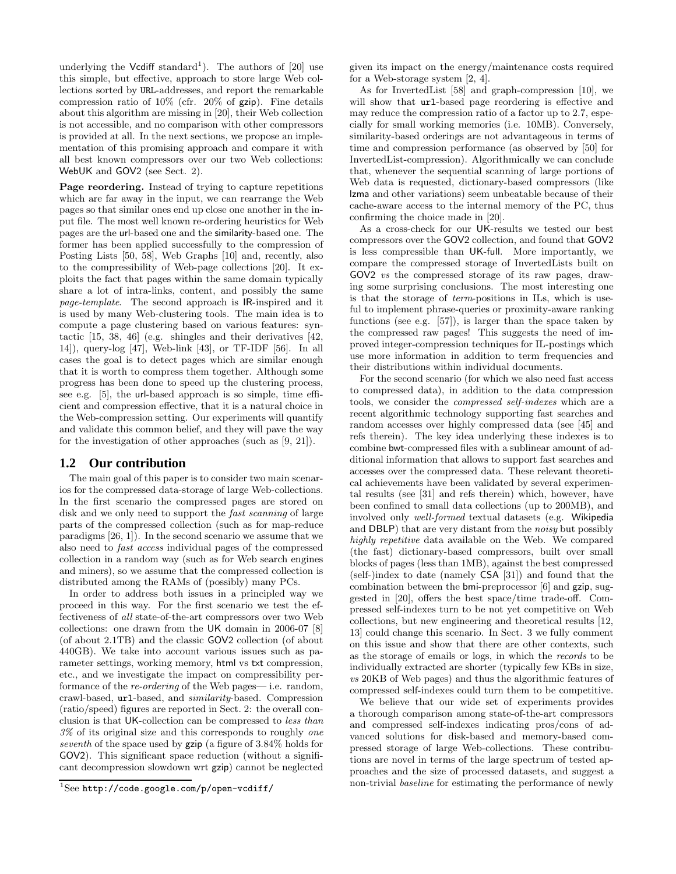underlying the Vcdiff standard<sup>1</sup>). The authors of  $[20]$  use this simple, but effective, approach to store large Web collections sorted by URL-addresses, and report the remarkable compression ratio of 10% (cfr. 20% of gzip). Fine details about this algorithm are missing in [20], their Web collection is not accessible, and no comparison with other compressors is provided at all. In the next sections, we propose an implementation of this promising approach and compare it with all best known compressors over our two Web collections: WebUK and GOV2 (see Sect. 2).

Page reordering. Instead of trying to capture repetitions which are far away in the input, we can rearrange the Web pages so that similar ones end up close one another in the input file. The most well known re-ordering heuristics for Web pages are the url-based one and the similarity-based one. The former has been applied successfully to the compression of Posting Lists [50, 58], Web Graphs [10] and, recently, also to the compressibility of Web-page collections [20]. It exploits the fact that pages within the same domain typically share a lot of intra-links, content, and possibly the same page-template. The second approach is IR-inspired and it is used by many Web-clustering tools. The main idea is to compute a page clustering based on various features: syntactic [15, 38, 46] (e.g. shingles and their derivatives [42, 14]), query-log [47], Web-link [43], or TF-IDF [56]. In all cases the goal is to detect pages which are similar enough that it is worth to compress them together. Although some progress has been done to speed up the clustering process, see e.g. [5], the url-based approach is so simple, time efficient and compression effective, that it is a natural choice in the Web-compression setting. Our experiments will quantify and validate this common belief, and they will pave the way for the investigation of other approaches (such as [9, 21]).

#### **1.2 Our contribution**

The main goal of this paper is to consider two main scenarios for the compressed data-storage of large Web-collections. In the first scenario the compressed pages are stored on disk and we only need to support the *fast scanning* of large parts of the compressed collection (such as for map-reduce paradigms [26, 1]). In the second scenario we assume that we also need to fast access individual pages of the compressed collection in a random way (such as for Web search engines and miners), so we assume that the compressed collection is distributed among the RAMs of (possibly) many PCs.

In order to address both issues in a principled way we proceed in this way. For the first scenario we test the effectiveness of all state-of-the-art compressors over two Web collections: one drawn from the UK domain in 2006-07 [8] (of about 2.1TB) and the classic GOV2 collection (of about 440GB). We take into account various issues such as parameter settings, working memory, html vs txt compression, etc., and we investigate the impact on compressibility performance of the re-ordering of the Web pages— i.e. random, crawl-based, url-based, and similarity-based. Compression (ratio/speed) figures are reported in Sect. 2: the overall conclusion is that UK-collection can be compressed to less than 3% of its original size and this corresponds to roughly one seventh of the space used by gzip (a figure of 3.84% holds for GOV2). This significant space reduction (without a significant decompression slowdown wrt gzip) cannot be neglected given its impact on the energy/maintenance costs required for a Web-storage system [2, 4].

As for InvertedList [58] and graph-compression [10], we will show that  $url-based$  page reordering is effective and may reduce the compression ratio of a factor up to 2.7, especially for small working memories (i.e. 10MB). Conversely, similarity-based orderings are not advantageous in terms of time and compression performance (as observed by [50] for InvertedList-compression). Algorithmically we can conclude that, whenever the sequential scanning of large portions of Web data is requested, dictionary-based compressors (like lzma and other variations) seem unbeatable because of their cache-aware access to the internal memory of the PC, thus confirming the choice made in [20].

As a cross-check for our UK-results we tested our best compressors over the GOV2 collection, and found that GOV2 is less compressible than UK-full. More importantly, we compare the compressed storage of InvertedLists built on GOV2 vs the compressed storage of its raw pages, drawing some surprising conclusions. The most interesting one is that the storage of term-positions in ILs, which is useful to implement phrase-queries or proximity-aware ranking functions (see e.g. [57]), is larger than the space taken by the compressed raw pages! This suggests the need of improved integer-compression techniques for IL-postings which use more information in addition to term frequencies and their distributions within individual documents.

For the second scenario (for which we also need fast access to compressed data), in addition to the data compression tools, we consider the compressed self-indexes which are a recent algorithmic technology supporting fast searches and random accesses over highly compressed data (see [45] and refs therein). The key idea underlying these indexes is to combine bwt-compressed files with a sublinear amount of additional information that allows to support fast searches and accesses over the compressed data. These relevant theoretical achievements have been validated by several experimental results (see [31] and refs therein) which, however, have been confined to small data collections (up to 200MB), and involved only well-formed textual datasets (e.g. Wikipedia and DBLP) that are very distant from the noisy but possibly highly repetitive data available on the Web. We compared (the fast) dictionary-based compressors, built over small blocks of pages (less than 1MB), against the best compressed (self-)index to date (namely CSA [31]) and found that the combination between the bmi-preprocessor [6] and gzip, suggested in [20], offers the best space/time trade-off. Compressed self-indexes turn to be not yet competitive on Web collections, but new engineering and theoretical results [12, 13] could change this scenario. In Sect. 3 we fully comment on this issue and show that there are other contexts, such as the storage of emails or logs, in which the records to be individually extracted are shorter (typically few KBs in size, vs 20KB of Web pages) and thus the algorithmic features of compressed self-indexes could turn them to be competitive.

We believe that our wide set of experiments provides a thorough comparison among state-of-the-art compressors and compressed self-indexes indicating pros/cons of advanced solutions for disk-based and memory-based compressed storage of large Web-collections. These contributions are novel in terms of the large spectrum of tested approaches and the size of processed datasets, and suggest a non-trivial baseline for estimating the performance of newly

 $1$ See http://code.google.com/p/open-vcdiff/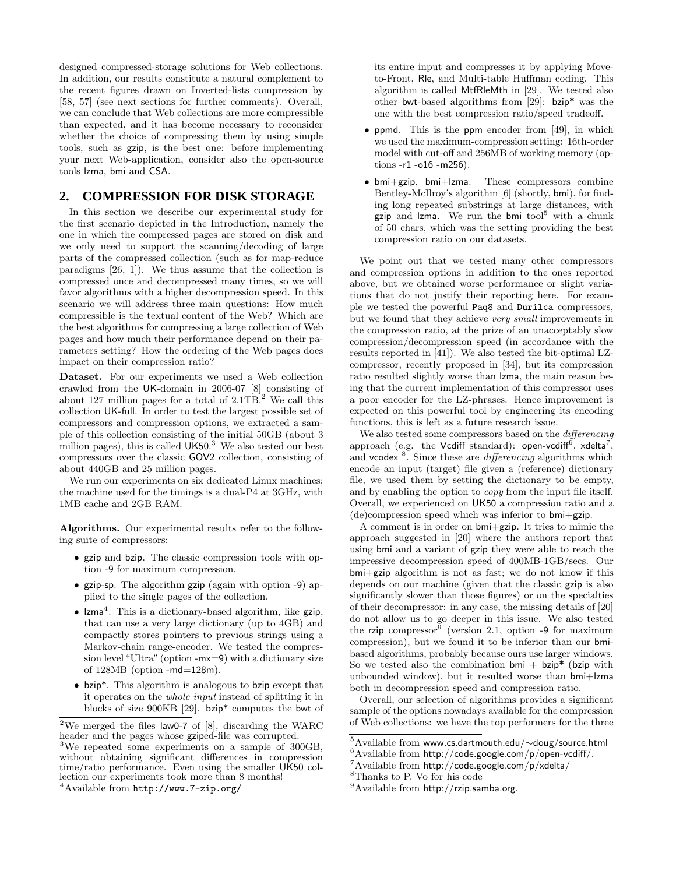designed compressed-storage solutions for Web collections. In addition, our results constitute a natural complement to the recent figures drawn on Inverted-lists compression by [58, 57] (see next sections for further comments). Overall, we can conclude that Web collections are more compressible than expected, and it has become necessary to reconsider whether the choice of compressing them by using simple tools, such as gzip, is the best one: before implementing your next Web-application, consider also the open-source tools lzma, bmi and CSA.

# **2. COMPRESSION FOR DISK STORAGE**

In this section we describe our experimental study for the first scenario depicted in the Introduction, namely the one in which the compressed pages are stored on disk and we only need to support the scanning/decoding of large parts of the compressed collection (such as for map-reduce paradigms [26, 1]). We thus assume that the collection is compressed once and decompressed many times, so we will favor algorithms with a higher decompression speed. In this scenario we will address three main questions: How much compressible is the textual content of the Web? Which are the best algorithms for compressing a large collection of Web pages and how much their performance depend on their parameters setting? How the ordering of the Web pages does impact on their compression ratio?

Dataset. For our experiments we used a Web collection crawled from the UK-domain in 2006-07 [8] consisting of about 127 million pages for a total of  $2.1TB<sup>2</sup>$ . We call this collection UK-full. In order to test the largest possible set of compressors and compression options, we extracted a sample of this collection consisting of the initial 50GB (about 3 million pages), this is called  $\overline{\mathsf{UK50.}}^3$  We also tested our best compressors over the classic GOV2 collection, consisting of about 440GB and 25 million pages.

We run our experiments on six dedicated Linux machines; the machine used for the timings is a dual-P4 at 3GHz, with 1MB cache and 2GB RAM.

Algorithms. Our experimental results refer to the following suite of compressors:

- gzip and bzip. The classic compression tools with option -9 for maximum compression.
- gzip-sp. The algorithm gzip (again with option -9) applied to the single pages of the collection.
- $\bullet$  lzma<sup>4</sup>. This is a dictionary-based algorithm, like gzip, that can use a very large dictionary (up to 4GB) and compactly stores pointers to previous strings using a Markov-chain range-encoder. We tested the compression level "Ultra" (option -mx=9) with a dictionary size of 128MB (option -md=128m).
- bzip\*. This algorithm is analogous to bzip except that it operates on the whole input instead of splitting it in blocks of size 900KB [29]. bzip\* computes the bwt of

its entire input and compresses it by applying Moveto-Front, Rle, and Multi-table Huffman coding. This algorithm is called MtfRleMth in [29]. We tested also other bwt-based algorithms from [29]: bzip\* was the one with the best compression ratio/speed tradeoff.

- ppmd. This is the ppm encoder from [49], in which we used the maximum-compression setting: 16th-order model with cut-off and 256MB of working memory (options -r1 -o16 -m256).
- bmi+gzip, bmi+lzma. These compressors combine Bentley-McIlroy's algorithm [6] (shortly, bmi), for finding long repeated substrings at large distances, with gzip and lzma. We run the bmi tool<sup>5</sup> with a chunk of 50 chars, which was the setting providing the best compression ratio on our datasets.

We point out that we tested many other compressors and compression options in addition to the ones reported above, but we obtained worse performance or slight variations that do not justify their reporting here. For example we tested the powerful Paq8 and Durilca compressors, but we found that they achieve very small improvements in the compression ratio, at the prize of an unacceptably slow compression/decompression speed (in accordance with the results reported in [41]). We also tested the bit-optimal LZcompressor, recently proposed in [34], but its compression ratio resulted slightly worse than lzma, the main reason being that the current implementation of this compressor uses a poor encoder for the LZ-phrases. Hence improvement is expected on this powerful tool by engineering its encoding functions, this is left as a future research issue.

We also tested some compressors based on the *differencing* approach (e.g. the Vcdiff standard): open-vcdiff $\tilde{6}$ , xdelta $\tilde{7}$ , and vcodex <sup>8</sup>. Since these are *differencing* algorithms which encode an input (target) file given a (reference) dictionary file, we used them by setting the dictionary to be empty, and by enabling the option to copy from the input file itself. Overall, we experienced on UK50 a compression ratio and a (de)compression speed which was inferior to bmi+gzip.

A comment is in order on bmi+gzip. It tries to mimic the approach suggested in [20] where the authors report that using bmi and a variant of gzip they were able to reach the impressive decompression speed of 400MB-1GB/secs. Our bmi+gzip algorithm is not as fast; we do not know if this depends on our machine (given that the classic gzip is also significantly slower than those figures) or on the specialties of their decompressor: in any case, the missing details of [20] do not allow us to go deeper in this issue. We also tested the rzip compressor<sup>9</sup> (version 2.1, option -9 for maximum compression), but we found it to be inferior than our bmibased algorithms, probably because ours use larger windows. So we tested also the combination bmi +  $bzip^*$  (bzip with unbounded window), but it resulted worse than bmi+lzma both in decompression speed and compression ratio.

Overall, our selection of algorithms provides a significant sample of the options nowadays available for the compression of Web collections: we have the top performers for the three

<sup>&</sup>lt;sup>2</sup>We merged the files law0-7 of  $[8]$ , discarding the WARC header and the pages whose gziped-file was corrupted. <sup>3</sup>We repeated some experiments on a sample of 300GB,

without obtaining significant differences in compression time/ratio performance. Even using the smaller UK50 collection our experiments took more than 8 months!

 $4\,\text{Available from \,http://www.7-zip.org/}$ 

<sup>5</sup>Available from www.cs.dartmouth.edu/∼doug/source.html

 $6A$ vailable from http://code.google.com/p/open-vcdiff/.

<sup>7</sup>Available from http://code.google.com/p/xdelta/

<sup>8</sup>Thanks to P. Vo for his code

<sup>&</sup>lt;sup>9</sup>Available from http://rzip.samba.org.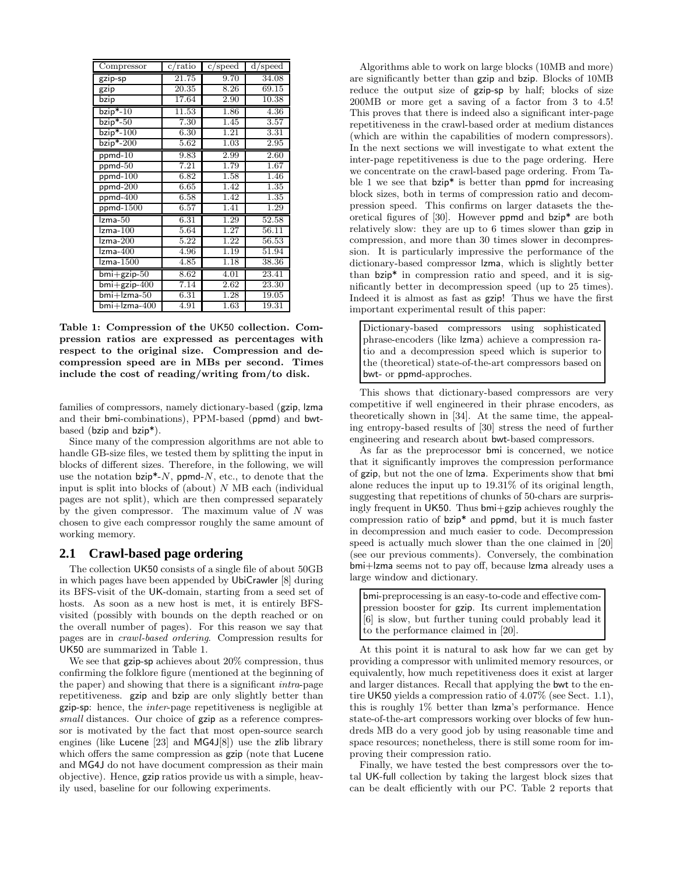| Compressor                    | c/ratio | $c$ /speed        | $d$ /speed |
|-------------------------------|---------|-------------------|------------|
| gzip-sp                       | 21.75   | 9.70              | 34.08      |
| gzip                          | 20.35   | 8.26              | 69.15      |
| bzip                          | 17.64   | 2.90              | 10.38      |
| $b$ zip $*$ -10               | 11.53   | 1.86              | 4.36       |
| $b$ zip $*-50$                | 7.30    | 1.45              | 3.57       |
| $b$ zip $*$ -100              | 6.30    | 1.21              | 3.31       |
| $b$ zip $*$ -200              | 5.62    | 1.03              | 2.95       |
| ppmd- $10$                    | 9.83    | 2.99              | 2.60       |
| $ppmd-50$                     | 7.21    | 1.79              | 1.67       |
| $ppmd-100$                    | 6.82    | 1.58              | 1.46       |
| $ppmd-200$                    | 6.65    | 1.42              | $1.35\,$   |
| $p$ pmd- $400$                | 6.58    | $1.\overline{42}$ | 1.35       |
| $ppmd-1500$                   | 6.57    | 1.41              | 1.29       |
| $Izma-50$                     | 6.31    | 1.29              | 52.58      |
| $\textsf{Izma-}100$           | 5.64    | 1.27              | 56.11      |
| $\textsf{Izma-}200$           | 5.22    | 1.22              | 56.53      |
| $Izma-400$                    | 4.96    | 1.19              | 51.94      |
| $\overline{\text{lzma-15}}00$ | 4.85    | 1.18              | 38.36      |
| $bmi+gzip-50$                 | 8.62    | 4.01              | 23.41      |
| $bmi+gzip-400$                | 7.14    | 2.62              | 23.30      |
| $bmi+$ Izma- $50$             | 6.31    | 1.28              | 19.05      |
| $bmi+$ Izma- $400$            | 4.91    | 1.63              | 19.31      |

Table 1: Compression of the UK50 collection. Compression ratios are expressed as percentages with respect to the original size. Compression and decompression speed are in MBs per second. Times include the cost of reading/writing from/to disk.

families of compressors, namely dictionary-based (gzip, lzma and their bmi-combinations), PPM-based (ppmd) and bwtbased (bzip and bzip\*).

Since many of the compression algorithms are not able to handle GB-size files, we tested them by splitting the input in blocks of different sizes. Therefore, in the following, we will use the notation  $bzip*N$ , ppmd-N, etc., to denote that the input is split into blocks of (about) N MB each (individual pages are not split), which are then compressed separately by the given compressor. The maximum value of  $N$  was chosen to give each compressor roughly the same amount of working memory.

#### **2.1 Crawl-based page ordering**

The collection UK50 consists of a single file of about 50GB in which pages have been appended by UbiCrawler [8] during its BFS-visit of the UK-domain, starting from a seed set of hosts. As soon as a new host is met, it is entirely BFSvisited (possibly with bounds on the depth reached or on the overall number of pages). For this reason we say that pages are in crawl-based ordering. Compression results for UK50 are summarized in Table 1.

We see that gzip-sp achieves about  $20\%$  compression, thus confirming the folklore figure (mentioned at the beginning of the paper) and showing that there is a significant intra-page repetitiveness. gzip and bzip are only slightly better than gzip-sp: hence, the inter-page repetitiveness is negligible at small distances. Our choice of gzip as a reference compressor is motivated by the fact that most open-source search engines (like Lucene [23] and MG4J[8]) use the zlib library which offers the same compression as gzip (note that Lucene and MG4J do not have document compression as their main objective). Hence, gzip ratios provide us with a simple, heavily used, baseline for our following experiments.

Algorithms able to work on large blocks (10MB and more) are significantly better than gzip and bzip. Blocks of 10MB reduce the output size of gzip-sp by half; blocks of size 200MB or more get a saving of a factor from 3 to 4.5! This proves that there is indeed also a significant inter-page repetitiveness in the crawl-based order at medium distances (which are within the capabilities of modern compressors). In the next sections we will investigate to what extent the inter-page repetitiveness is due to the page ordering. Here we concentrate on the crawl-based page ordering. From Table 1 we see that  $bzip*$  is better than ppmd for increasing block sizes, both in terms of compression ratio and decompression speed. This confirms on larger datasets the theoretical figures of [30]. However ppmd and bzip\* are both relatively slow: they are up to 6 times slower than gzip in compression, and more than 30 times slower in decompression. It is particularly impressive the performance of the dictionary-based compressor lzma, which is slightly better than bzip\* in compression ratio and speed, and it is significantly better in decompression speed (up to 25 times). Indeed it is almost as fast as gzip! Thus we have the first important experimental result of this paper:

Dictionary-based compressors using sophisticated phrase-encoders (like lzma) achieve a compression ratio and a decompression speed which is superior to the (theoretical) state-of-the-art compressors based on bwt- or ppmd-approches.

This shows that dictionary-based compressors are very competitive if well engineered in their phrase encoders, as theoretically shown in [34]. At the same time, the appealing entropy-based results of [30] stress the need of further engineering and research about bwt-based compressors.

As far as the preprocessor bmi is concerned, we notice that it significantly improves the compression performance of gzip, but not the one of lzma. Experiments show that bmi alone reduces the input up to 19.31% of its original length, suggesting that repetitions of chunks of 50-chars are surprisingly frequent in UK50. Thus bmi+gzip achieves roughly the compression ratio of bzip\* and ppmd, but it is much faster in decompression and much easier to code. Decompression speed is actually much slower than the one claimed in [20] (see our previous comments). Conversely, the combination bmi+lzma seems not to pay off, because lzma already uses a large window and dictionary.

bmi-preprocessing is an easy-to-code and effective compression booster for gzip. Its current implementation [6] is slow, but further tuning could probably lead it to the performance claimed in [20].

At this point it is natural to ask how far we can get by providing a compressor with unlimited memory resources, or equivalently, how much repetitiveness does it exist at larger and larger distances. Recall that applying the bwt to the entire UK50 yields a compression ratio of 4.07% (see Sect. 1.1), this is roughly 1% better than lzma's performance. Hence state-of-the-art compressors working over blocks of few hundreds MB do a very good job by using reasonable time and space resources; nonetheless, there is still some room for improving their compression ratio.

Finally, we have tested the best compressors over the total UK-full collection by taking the largest block sizes that can be dealt efficiently with our PC. Table 2 reports that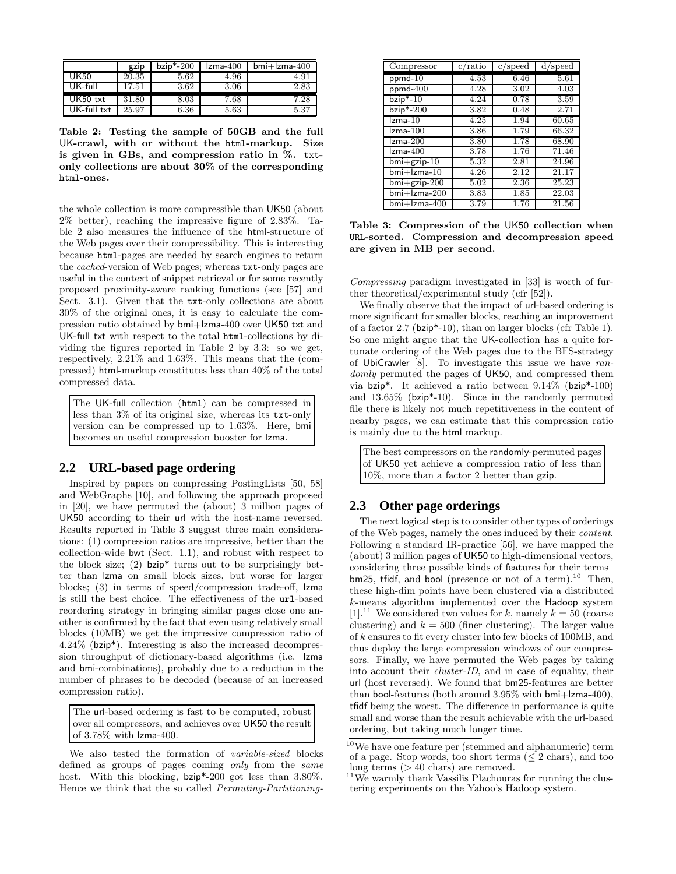|             | gzip  | $b$ zip $*$ -200 | $Izma-400$ | $bmi+$  zma-400 |
|-------------|-------|------------------|------------|-----------------|
| <b>UK50</b> | 20.35 | 5.62             | 4.96       | 4.91            |
| UK-full     | 17.51 | 3.62             | 3.06       | 2.83            |
| UK50 txt    | 31.80 | 8.03             | 7.68       | 7.28            |
| UK-full txt | 25.97 | 6.36             | 5.63       | 5.37            |

Table 2: Testing the sample of 50GB and the full UK-crawl, with or without the html-markup. Size is given in GBs, and compression ratio in %. txtonly collections are about 30% of the corresponding html-ones.

the whole collection is more compressible than UK50 (about 2% better), reaching the impressive figure of 2.83%. Table 2 also measures the influence of the html-structure of the Web pages over their compressibility. This is interesting because html-pages are needed by search engines to return the cached-version of Web pages; whereas txt-only pages are useful in the context of snippet retrieval or for some recently proposed proximity-aware ranking functions (see [57] and Sect. 3.1). Given that the txt-only collections are about 30% of the original ones, it is easy to calculate the compression ratio obtained by bmi+lzma-400 over UK50 txt and UK-full txt with respect to the total html-collections by dividing the figures reported in Table 2 by 3.3: so we get, respectively, 2.21% and 1.63%. This means that the (compressed) html-markup constitutes less than 40% of the total compressed data.

The UK-full collection (html) can be compressed in less than 3% of its original size, whereas its txt-only version can be compressed up to 1.63%. Here, bmi becomes an useful compression booster for lzma.

#### **2.2 URL-based page ordering**

Inspired by papers on compressing PostingLists [50, 58] and WebGraphs [10], and following the approach proposed in [20], we have permuted the (about) 3 million pages of UK50 according to their url with the host-name reversed. Results reported in Table 3 suggest three main considerations: (1) compression ratios are impressive, better than the collection-wide bwt (Sect. 1.1), and robust with respect to the block size; (2)  $bzip*$  turns out to be surprisingly better than lzma on small block sizes, but worse for larger blocks; (3) in terms of speed/compression trade-off, lzma is still the best choice. The effectiveness of the url-based reordering strategy in bringing similar pages close one another is confirmed by the fact that even using relatively small blocks (10MB) we get the impressive compression ratio of 4.24% (bzip\*). Interesting is also the increased decompression throughput of dictionary-based algorithms (i.e. lzma and bmi-combinations), probably due to a reduction in the number of phrases to be decoded (because of an increased compression ratio).

The url-based ordering is fast to be computed, robust over all compressors, and achieves over UK50 the result of 3.78% with lzma-400.

We also tested the formation of variable-sized blocks defined as groups of pages coming only from the same host. With this blocking, bzip\*-200 got less than 3.80%. Hence we think that the so called Permuting-Partitioning-

| Compressor                                | c/ratio           | $c$ /speed | speed |
|-------------------------------------------|-------------------|------------|-------|
| $ppmd-10$                                 | 4.53              | 6.46       | 5.61  |
| $ppmd-400$                                | 4.28              | 3.02       | 4.03  |
| $bzip*-10$                                | $4.\overline{24}$ | 0.78       | 3.59  |
| $bzip*-200$                               | 3.82              | 0.48       | 2.71  |
| $Izma-10$                                 | 4.25              | 1.94       | 60.65 |
| $Izma-100$                                | 3.86              | 1.79       | 66.32 |
| $Izma-200$                                | 3.80              | 1.78       | 68.90 |
| $Izma-400$                                | 3.78              | 1.76       | 71.46 |
| $bmi+gzip-10$                             | 5.32              | 2.81       | 24.96 |
| $bmi+$ Izma- $10$                         | 4.26              | 2.12       | 21.17 |
| $bmi+gzip-200$                            | 5.02              | 2.36       | 25.23 |
| $bmi+$ Izma- $200$                        | 3.83              | 1.85       | 22.03 |
| $\overline{\text{bmi}} + \text{lzma-}400$ | 3.79              | 1.76       | 21.56 |

Table 3: Compression of the UK50 collection when URL-sorted. Compression and decompression speed are given in MB per second.

Compressing paradigm investigated in [33] is worth of further theoretical/experimental study (cfr [52]).

We finally observe that the impact of url-based ordering is more significant for smaller blocks, reaching an improvement of a factor 2.7 (bzip\*-10), than on larger blocks (cfr Table 1). So one might argue that the UK-collection has a quite fortunate ordering of the Web pages due to the BFS-strategy of UbiCrawler [8]. To investigate this issue we have randomly permuted the pages of UK50, and compressed them via bzip\*. It achieved a ratio between 9.14% (bzip\*-100) and 13.65% (bzip\*-10). Since in the randomly permuted file there is likely not much repetitiveness in the content of nearby pages, we can estimate that this compression ratio is mainly due to the html markup.

The best compressors on the randomly-permuted pages of UK50 yet achieve a compression ratio of less than 10%, more than a factor 2 better than gzip.

#### **2.3 Other page orderings**

The next logical step is to consider other types of orderings of the Web pages, namely the ones induced by their content. Following a standard IR-practice [56], we have mapped the (about) 3 million pages of UK50 to high-dimensional vectors, considering three possible kinds of features for their terms–  $bm25$ , tfidf, and bool (presence or not of a term).<sup>10</sup> Then, these high-dim points have been clustered via a distributed k-means algorithm implemented over the Hadoop system [1].<sup>11</sup> We considered two values for k, namely  $k = 50$  (coarse clustering) and  $k = 500$  (finer clustering). The larger value of k ensures to fit every cluster into few blocks of 100MB, and thus deploy the large compression windows of our compressors. Finally, we have permuted the Web pages by taking into account their cluster-ID, and in case of equality, their url (host reversed). We found that bm25-features are better than bool-features (both around 3.95% with bmi+lzma-400), tfidf being the worst. The difference in performance is quite small and worse than the result achievable with the url-based ordering, but taking much longer time.

 $10\,\text{We}$  have one feature per (stemmed and alphanumeric) term of a page. Stop words, too short terms ( $\leq 2$  chars), and too long terms  $(> 40 \text{ chars})$  are removed.

 $11$ We warmly thank Vassilis Plachouras for running the clustering experiments on the Yahoo's Hadoop system.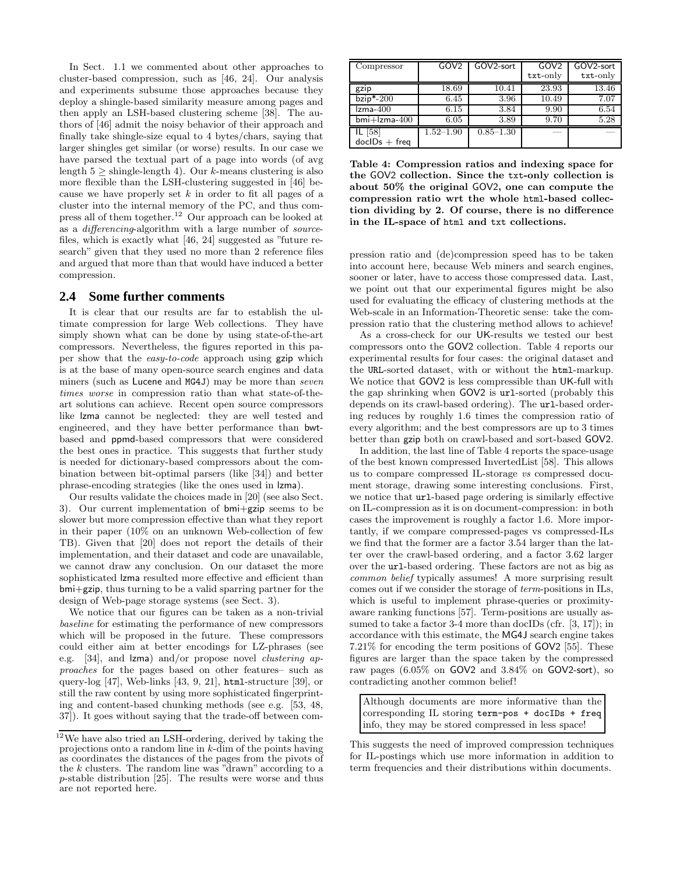In Sect. 1.1 we commented about other approaches to cluster-based compression, such as [46, 24]. Our analysis and experiments subsume those approaches because they deploy a shingle-based similarity measure among pages and then apply an LSH-based clustering scheme [38]. The authors of [46] admit the noisy behavior of their approach and finally take shingle-size equal to 4 bytes/chars, saying that larger shingles get similar (or worse) results. In our case we have parsed the textual part of a page into words (of avg length  $5 \geq \text{shingle-length } 4$ ). Our k-means clustering is also more flexible than the LSH-clustering suggested in [46] because we have properly set  $k$  in order to fit all pages of a cluster into the internal memory of the PC, and thus compress all of them together.<sup>12</sup> Our approach can be looked at as a differencing-algorithm with a large number of sourcefiles, which is exactly what [46, 24] suggested as "future research" given that they used no more than 2 reference files and argued that more than that would have induced a better compression.

#### **2.4 Some further comments**

It is clear that our results are far to establish the ultimate compression for large Web collections. They have simply shown what can be done by using state-of-the-art compressors. Nevertheless, the figures reported in this paper show that the easy-to-code approach using gzip which is at the base of many open-source search engines and data miners (such as Lucene and MG4J) may be more than seven times worse in compression ratio than what state-of-theart solutions can achieve. Recent open source compressors like lzma cannot be neglected: they are well tested and engineered, and they have better performance than bwtbased and ppmd-based compressors that were considered the best ones in practice. This suggests that further study is needed for dictionary-based compressors about the combination between bit-optimal parsers (like [34]) and better phrase-encoding strategies (like the ones used in lzma).

Our results validate the choices made in [20] (see also Sect. 3). Our current implementation of bmi+gzip seems to be slower but more compression effective than what they report in their paper (10% on an unknown Web-collection of few TB). Given that [20] does not report the details of their implementation, and their dataset and code are unavailable, we cannot draw any conclusion. On our dataset the more sophisticated lzma resulted more effective and efficient than bmi+gzip, thus turning to be a valid sparring partner for the design of Web-page storage systems (see Sect. 3).

We notice that our figures can be taken as a non-trivial baseline for estimating the performance of new compressors which will be proposed in the future. These compressors could either aim at better encodings for LZ-phrases (see e.g. [34], and  $\ell$ zma) and/or propose novel *clustering ap*proaches for the pages based on other features– such as query-log [47], Web-links [43, 9, 21], html-structure [39], or still the raw content by using more sophisticated fingerprinting and content-based chunking methods (see e.g. [53, 48, 37]). It goes without saying that the trade-off between com-

| Compressor                     | GOV <sub>2</sub> | GOV2-sort     | GOV <sub>2</sub> | GOV2-sort |
|--------------------------------|------------------|---------------|------------------|-----------|
|                                |                  |               | txt-only         | txt-only  |
| gzip                           | 18.69            | 10.41         | 23.93            | 13.46     |
| $bzip*-200$                    | 6.45             | 3.96          | 10.49            | 7.07      |
| $Izma-400$                     | 6.15             | 3.84          | 9.90             | 6.54      |
| $bmi+$ Izma-400                | 6.05             | 3.89          | 9.70             | 5.28      |
| [58]<br>IL.<br>$docIDs + freq$ | $1.52 - 1.90$    | $0.85 - 1.30$ |                  |           |

Table 4: Compression ratios and indexing space for the GOV2 collection. Since the txt-only collection is about 50% the original GOV2, one can compute the compression ratio wrt the whole html-based collection dividing by 2. Of course, there is no difference in the IL-space of html and txt collections.

pression ratio and (de)compression speed has to be taken into account here, because Web miners and search engines, sooner or later, have to access those compressed data. Last, we point out that our experimental figures might be also used for evaluating the efficacy of clustering methods at the Web-scale in an Information-Theoretic sense: take the compression ratio that the clustering method allows to achieve!

As a cross-check for our UK-results we tested our best compressors onto the GOV2 collection. Table 4 reports our experimental results for four cases: the original dataset and the URL-sorted dataset, with or without the html-markup. We notice that GOV2 is less compressible than UK-full with the gap shrinking when GOV2 is url-sorted (probably this depends on its crawl-based ordering). The url-based ordering reduces by roughly 1.6 times the compression ratio of every algorithm; and the best compressors are up to 3 times better than gzip both on crawl-based and sort-based GOV2.

In addition, the last line of Table 4 reports the space-usage of the best known compressed InvertedList [58]. This allows us to compare compressed IL-storage vs compressed document storage, drawing some interesting conclusions. First, we notice that url-based page ordering is similarly effective on IL-compression as it is on document-compression: in both cases the improvement is roughly a factor 1.6. More importantly, if we compare compressed-pages vs compressed-ILs we find that the former are a factor 3.54 larger than the latter over the crawl-based ordering, and a factor 3.62 larger over the url-based ordering. These factors are not as big as common belief typically assumes! A more surprising result comes out if we consider the storage of term-positions in ILs, which is useful to implement phrase-queries or proximityaware ranking functions [57]. Term-positions are usually assumed to take a factor 3-4 more than docIDs (cfr. [3, 17]); in accordance with this estimate, the MG4J search engine takes 7.21% for encoding the term positions of GOV2 [55]. These figures are larger than the space taken by the compressed raw pages  $(6.05\% \text{ on GOV2} \text{ and } 3.84\% \text{ on GOV2-sort})$ , so contradicting another common belief!

Although documents are more informative than the corresponding IL storing term-pos + docIDs + freq info, they may be stored compressed in less space!

<sup>12</sup>We have also tried an LSH-ordering, derived by taking the projections onto a random line in  $k$ -dim of the points having as coordinates the distances of the pages from the pivots of the  $k$  clusters. The random line was "drawn" according to a p-stable distribution [25]. The results were worse and thus are not reported here.

This suggests the need of improved compression techniques for IL-postings which use more information in addition to term frequencies and their distributions within documents.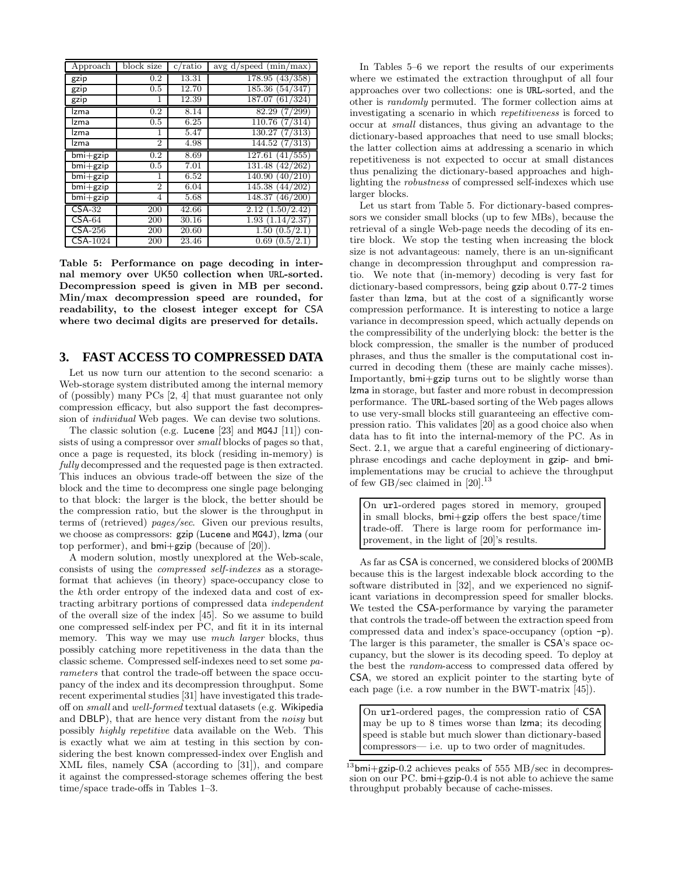| Approach                          | block size     | c/ratio | $avg$ d/speed (min/max) |
|-----------------------------------|----------------|---------|-------------------------|
| gzip                              | 0.2            | 13.31   | 178.95 (43/358)         |
| gzip                              | 0.5            | 12.70   | 185.36 (54/347)         |
| gzip                              | 1              | 12.39   | 187.07 (61/324)         |
| Izma                              | 0.2            | 8.14    | 82.29<br>(7/299)        |
| Izma                              | 0.5            | 6.25    | 110.76(7/314)           |
| Izma                              | I.             | 5.47    | 130.27 (7/313)          |
| Izma                              | $\overline{2}$ | 4.98    | 144.52 (7/313)          |
| $bmi+gzip$                        | 0.2            | 8.69    | 127.61 (41/555)         |
| $bmi+gzip$                        | 0.5            | 7.01    | 131.48 (42/262)         |
| $bmi+gzip$                        |                | 6.52    | 140.90<br>(40/210)      |
| $\overline{\text{b}}$ mi $+$ gzip | $\overline{2}$ | 6.04    | 145.38 (44/202)         |
| $\overline{b}$ mi $+$ gzip        | 4              | 5.68    | 148.37 (46/200)         |
| $CSA-32$                          | 200            | 42.66   | 2.12(1.50/2.42)         |
| $\overline{\text{CSA}}$ -64       | 200            | 30.16   | 1.93(1.14/2.37)         |
| $CSA-256$                         | 200            | 20.60   | 1.50(0.5/2.1)           |
| $CSA-1024$                        | 200            | 23.46   | 0.69(0.5/2.1)           |

Table 5: Performance on page decoding in internal memory over UK50 collection when URL-sorted. Decompression speed is given in MB per second. Min/max decompression speed are rounded, for readability, to the closest integer except for CSA where two decimal digits are preserved for details.

# **3. FAST ACCESS TO COMPRESSED DATA**

Let us now turn our attention to the second scenario: a Web-storage system distributed among the internal memory of (possibly) many PCs [2, 4] that must guarantee not only compression efficacy, but also support the fast decompression of individual Web pages. We can devise two solutions.

The classic solution (e.g. Lucene [23] and MG4J [11]) consists of using a compressor over *small* blocks of pages so that, once a page is requested, its block (residing in-memory) is fully decompressed and the requested page is then extracted. This induces an obvious trade-off between the size of the block and the time to decompress one single page belonging to that block: the larger is the block, the better should be the compression ratio, but the slower is the throughput in terms of (retrieved) pages/sec. Given our previous results, we choose as compressors: gzip (Lucene and MG4J), lzma (our top performer), and bmi+gzip (because of [20]).

A modern solution, mostly unexplored at the Web-scale, consists of using the compressed self-indexes as a storageformat that achieves (in theory) space-occupancy close to the kth order entropy of the indexed data and cost of extracting arbitrary portions of compressed data independent of the overall size of the index [45]. So we assume to build one compressed self-index per PC, and fit it in its internal memory. This way we may use *much larger* blocks, thus possibly catching more repetitiveness in the data than the classic scheme. Compressed self-indexes need to set some parameters that control the trade-off between the space occupancy of the index and its decompression throughput. Some recent experimental studies [31] have investigated this tradeoff on small and well-formed textual datasets (e.g. Wikipedia and DBLP), that are hence very distant from the *noisy* but possibly highly repetitive data available on the Web. This is exactly what we aim at testing in this section by considering the best known compressed-index over English and XML files, namely CSA (according to [31]), and compare it against the compressed-storage schemes offering the best time/space trade-offs in Tables 1–3.

In Tables 5–6 we report the results of our experiments where we estimated the extraction throughput of all four approaches over two collections: one is URL-sorted, and the other is randomly permuted. The former collection aims at investigating a scenario in which repetitiveness is forced to occur at small distances, thus giving an advantage to the dictionary-based approaches that need to use small blocks; the latter collection aims at addressing a scenario in which repetitiveness is not expected to occur at small distances thus penalizing the dictionary-based approaches and highlighting the robustness of compressed self-indexes which use larger blocks.

Let us start from Table 5. For dictionary-based compressors we consider small blocks (up to few MBs), because the retrieval of a single Web-page needs the decoding of its entire block. We stop the testing when increasing the block size is not advantageous: namely, there is an un-significant change in decompression throughput and compression ratio. We note that (in-memory) decoding is very fast for dictionary-based compressors, being gzip about 0.77-2 times faster than lzma, but at the cost of a significantly worse compression performance. It is interesting to notice a large variance in decompression speed, which actually depends on the compressibility of the underlying block: the better is the block compression, the smaller is the number of produced phrases, and thus the smaller is the computational cost incurred in decoding them (these are mainly cache misses). Importantly, bmi+gzip turns out to be slightly worse than lzma in storage, but faster and more robust in decompression performance. The URL-based sorting of the Web pages allows to use very-small blocks still guaranteeing an effective compression ratio. This validates [20] as a good choice also when data has to fit into the internal-memory of the PC. As in Sect. 2.1, we argue that a careful engineering of dictionaryphrase encodings and cache deployment in gzip- and bmiimplementations may be crucial to achieve the throughput of few GB/sec claimed in  $[20].^{13}$ 

On url-ordered pages stored in memory, grouped in small blocks, bmi+gzip offers the best space/time trade-off. There is large room for performance improvement, in the light of [20]'s results.

As far as CSA is concerned, we considered blocks of 200MB because this is the largest indexable block according to the software distributed in [32], and we experienced no significant variations in decompression speed for smaller blocks. We tested the CSA-performance by varying the parameter that controls the trade-off between the extraction speed from compressed data and index's space-occupancy (option -p). The larger is this parameter, the smaller is CSA's space occupancy, but the slower is its decoding speed. To deploy at the best the random-access to compressed data offered by CSA, we stored an explicit pointer to the starting byte of each page (i.e. a row number in the BWT-matrix [45]).

On url-ordered pages, the compression ratio of CSA may be up to 8 times worse than lzma; its decoding speed is stable but much slower than dictionary-based compressors— i.e. up to two order of magnitudes.

 $^{13}$ bmi+gzip-0.2 achieves peaks of 555 MB/sec in decompression on our PC.  $bm+gzip-0.4$  is not able to achieve the same throughput probably because of cache-misses.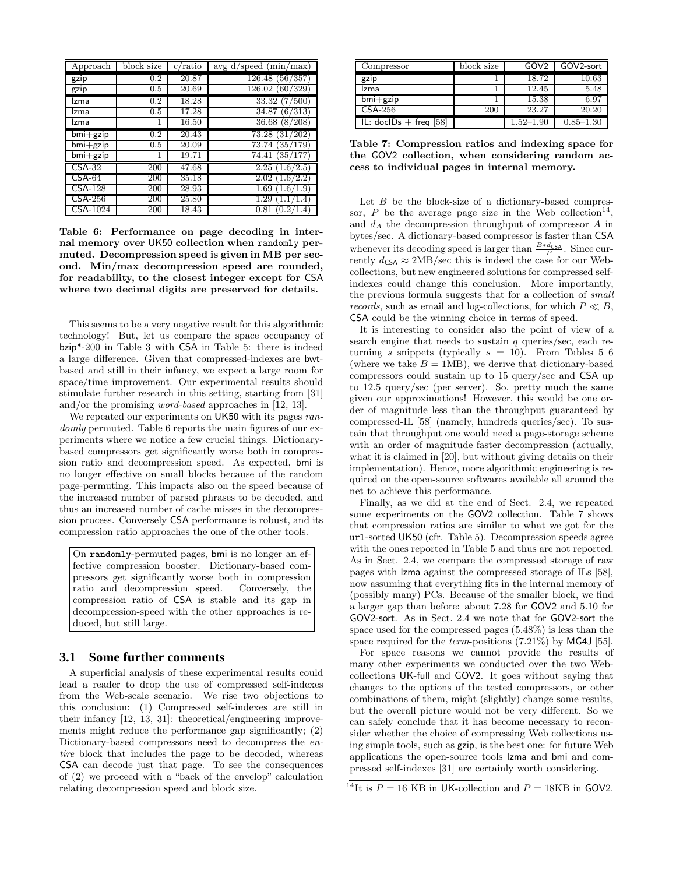| Approach   | block size | c/ratio | $avg$ d/speed (min/max) |
|------------|------------|---------|-------------------------|
| gzip       | 0.2        | 20.87   | 126.48~(56/357)         |
| gzip       | 0.5        | 20.69   | 126.02(60/329)          |
| Izma       | 0.2        | 18.28   | 33.32 (7/500)           |
| Izma       | 0.5        | 17.28   | 34.87(6/313)            |
| Izma       |            | 16.50   | 36.68~(8/208)           |
| $bmi+gzip$ | 0.2        | 20.43   | 73.28 (31/202)          |
| $bmi+gzip$ | 0.5        | 20.09   | 73.74(35/179)           |
| $bmi+gzip$ | L          | 19.71   | 74.41 (35/177)          |
| $CSA-32$   | 200        | 47.68   | 2.25(1.6/2.5)           |
| $CSA-64$   | 200        | 35.18   | 2.02(1.6/2.2)           |
| $CSA-128$  | 200        | 28.93   | 1.69(1.6/1.9)           |
| $CSA-256$  | 200        | 25.80   | 1.29<br>1.1/1.4         |
| CSA-1024   | 200        | 18.43   | (0.2/1.4)<br>0.81       |

Table 6: Performance on page decoding in internal memory over UK50 collection when randomly permuted. Decompression speed is given in MB per second. Min/max decompression speed are rounded, for readability, to the closest integer except for CSA where two decimal digits are preserved for details.

This seems to be a very negative result for this algorithmic technology! But, let us compare the space occupancy of bzip\*-200 in Table 3 with CSA in Table 5: there is indeed a large difference. Given that compressed-indexes are bwtbased and still in their infancy, we expect a large room for space/time improvement. Our experimental results should stimulate further research in this setting, starting from [31] and/or the promising word-based approaches in [12, 13].

We repeated our experiments on UK50 with its pages randomly permuted. Table 6 reports the main figures of our experiments where we notice a few crucial things. Dictionarybased compressors get significantly worse both in compression ratio and decompression speed. As expected, bmi is no longer effective on small blocks because of the random page-permuting. This impacts also on the speed because of the increased number of parsed phrases to be decoded, and thus an increased number of cache misses in the decompression process. Conversely CSA performance is robust, and its compression ratio approaches the one of the other tools.

On randomly-permuted pages, bmi is no longer an effective compression booster. Dictionary-based compressors get significantly worse both in compression ratio and decompression speed. Conversely, the compression ratio of CSA is stable and its gap in decompression-speed with the other approaches is reduced, but still large.

#### **3.1 Some further comments**

A superficial analysis of these experimental results could lead a reader to drop the use of compressed self-indexes from the Web-scale scenario. We rise two objections to this conclusion: (1) Compressed self-indexes are still in their infancy [12, 13, 31]: theoretical/engineering improvements might reduce the performance gap significantly; (2) Dictionary-based compressors need to decompress the entire block that includes the page to be decoded, whereas CSA can decode just that page. To see the consequences of (2) we proceed with a "back of the envelop" calculation relating decompression speed and block size.

| Compressor                     | block size | GOV <sub>2</sub> | GOV <sub>2</sub> -sort |
|--------------------------------|------------|------------------|------------------------|
| gzip                           |            | 18.72            | 10.63                  |
| Izma                           |            | 12.45            | 5.48                   |
| $bmi+gzip$                     |            | 15.38            | 6.97                   |
| $CSA-256$                      | 200        | 23.27            | 20.20                  |
| $IL:$ docl $Ds + freq$<br>[58] |            | $1.52 - 1.90$    | $0.85 - 1.30$          |

Table 7: Compression ratios and indexing space for the GOV2 collection, when considering random access to individual pages in internal memory.

Let  $B$  be the block-size of a dictionary-based compressor, P be the average page size in the Web collection<sup>14</sup>, and  $d_A$  the decompression throughput of compressor  $A$  in bytes/sec. A dictionary-based compressor is faster than CSA whenever its decoding speed is larger than  $\frac{B * d_{\text{CSA}}}{P}$ . Since currently  $d_{\text{CSA}} \approx 2MB/\text{sec}$  this is indeed the case for our Webcollections, but new engineered solutions for compressed selfindexes could change this conclusion. More importantly, the previous formula suggests that for a collection of small records, such as email and log-collections, for which  $P \ll B$ , CSA could be the winning choice in terms of speed.

It is interesting to consider also the point of view of a search engine that needs to sustain  $q$  queries/sec, each returning s snippets (typically  $s = 10$ ). From Tables 5–6 (where we take  $B = 1MB$ ), we derive that dictionary-based compressors could sustain up to 15 query/sec and CSA up to 12.5 query/sec (per server). So, pretty much the same given our approximations! However, this would be one order of magnitude less than the throughput guaranteed by compressed-IL [58] (namely, hundreds queries/sec). To sustain that throughput one would need a page-storage scheme with an order of magnitude faster decompression (actually, what it is claimed in [20], but without giving details on their implementation). Hence, more algorithmic engineering is required on the open-source softwares available all around the net to achieve this performance.

Finally, as we did at the end of Sect. 2.4, we repeated some experiments on the GOV2 collection. Table 7 shows that compression ratios are similar to what we got for the url-sorted UK50 (cfr. Table 5). Decompression speeds agree with the ones reported in Table 5 and thus are not reported. As in Sect. 2.4, we compare the compressed storage of raw pages with lzma against the compressed storage of ILs [58], now assuming that everything fits in the internal memory of (possibly many) PCs. Because of the smaller block, we find a larger gap than before: about 7.28 for GOV2 and 5.10 for GOV2-sort. As in Sect. 2.4 we note that for GOV2-sort the space used for the compressed pages (5.48%) is less than the space required for the *term*-positions  $(7.21\%)$  by MG4J [55].

For space reasons we cannot provide the results of many other experiments we conducted over the two Webcollections UK-full and GOV2. It goes without saying that changes to the options of the tested compressors, or other combinations of them, might (slightly) change some results, but the overall picture would not be very different. So we can safely conclude that it has become necessary to reconsider whether the choice of compressing Web collections using simple tools, such as gzip, is the best one: for future Web applications the open-source tools lzma and bmi and compressed self-indexes [31] are certainly worth considering.

<sup>&</sup>lt;sup>14</sup>It is  $P = 16$  KB in UK-collection and  $P = 18$ KB in GOV2.